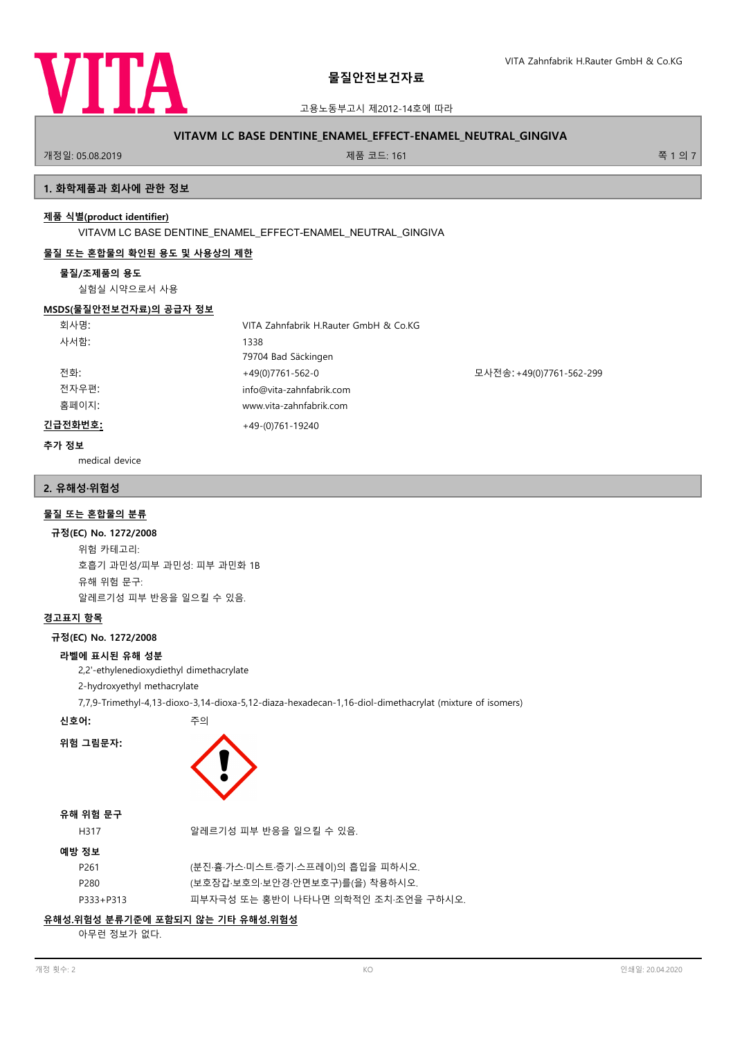

고용노동부고시 제2012-14호에 따라

# **VITAVM LC BASE DENTINE\_ENAMEL\_EFFECT-ENAMEL\_NEUTRAL\_GINGIVA**

.<br>개정일: 05.08.2019 제품 코드: 161 쪽 1 의 7

# **1. 화학제품과 회사에 관한 정보**

# **제품 식별(product identifier)**

VITAVM LC BASE DENTINE\_ENAMEL\_EFFECT-ENAMEL\_NEUTRAL\_GINGIVA

# **물질 또는 혼합물의 확인된 용도 및 사용상의 제한**

### **물질/조제품의 용도**

실험실 시약으로서 사용

### **MSDS(물질안전보건자료)의 공급자 정보**

| 회사명:    | VITA Zahnfabrik H.Rauter GmbH & Co.KG |                          |
|---------|---------------------------------------|--------------------------|
| 사서함:    | 1338                                  |                          |
|         | 79704 Bad Säckingen                   |                          |
| 전화:     | +49(0)7761-562-0                      | 모사전송: +49(0)7761-562-299 |
| 전자우편:   | info@vita-zahnfabrik.com              |                          |
| 홈페이지:   | www.vita-zahnfabrik.com               |                          |
| 긴급전화번호: | $+49-(0)761-19240$                    |                          |

### **추가 정보**

medical device

# **2. 유해성·위험성**

# **물질 또는 혼합물의 분류**

### **규정(EC) No. 1272/2008**

위험 카테고리: 호흡기 과민성/피부 과민성: 피부 과민화 1B 유해 위험 문구: 알레르기성 피부 반응을 일으킬 수 있음.

# **경고표지 항목**

### **규정(EC) No. 1272/2008**

### **라벨에 표시된 유해 성분**

2,2'-ethylenedioxydiethyl dimethacrylate

- 2-hydroxyethyl methacrylate
- 7,7,9-Trimethyl-4,13-dioxo-3,14-dioxa-5,12-diaza-hexadecan-1,16-diol-dimethacrylat (mixture of isomers)

**신호어:** 주의



# **유해 위험 문구**

**위험 그림문자:**

| H317 | 알레르기성 피부 반응을 일으킬 수 있음. |
|------|------------------------|
|      |                        |

| 매반 | $T_{\rm H}$ |  |
|----|-------------|--|
|    |             |  |

| 성모        |                                     |
|-----------|-------------------------------------|
| P261      | (분진·흄·가스·미스트·증기·스프레이)의 흡입을 피하시오.    |
| P280      | (보호장갑·보호의·보안경·안면보호구)를(을) 착용하시오.     |
| P333+P313 | 피부자극성 또는 홍반이 나타나면 의학적인 조치 조언을 구하시오. |

# **유해성.위험성 분류기준에 포함되지 않는 기타 유해성.위험성**

아무런 정보가 없다.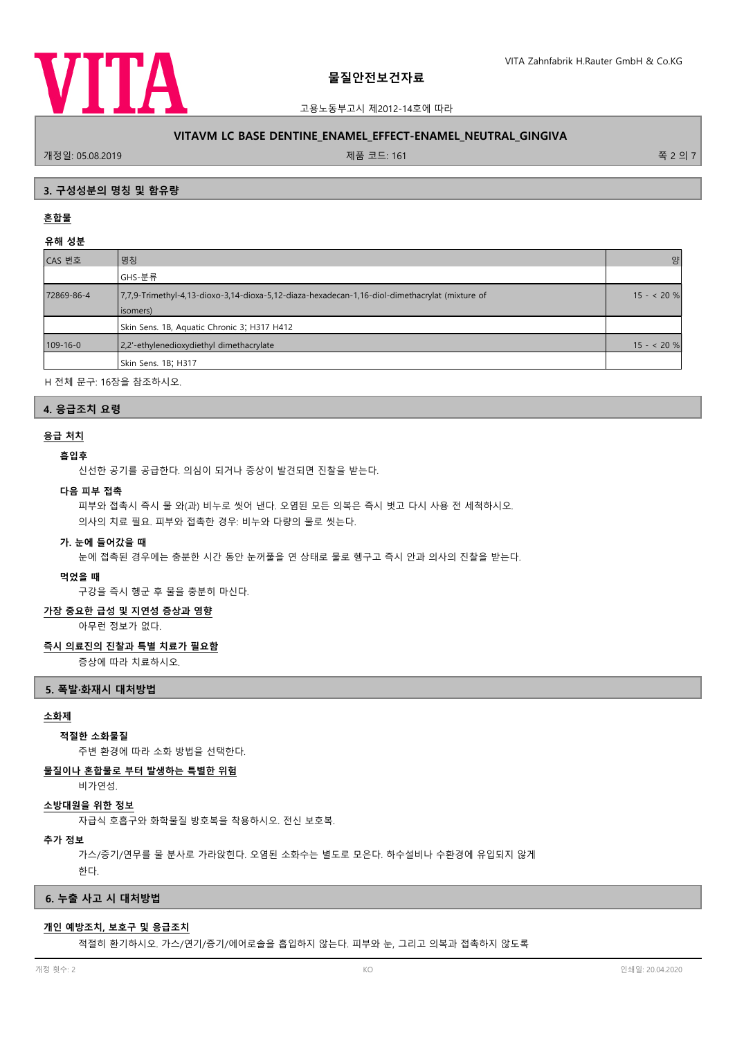

고용노동부고시 제2012-14호에 따라

# **VITAVM LC BASE DENTINE\_ENAMEL\_EFFECT-ENAMEL\_NEUTRAL\_GINGIVA**

.<br>개정일: 05.08.2019 제품 코드: 161 쪽 2 의 7

### **3. 구성성분의 명칭 및 함유량**

# **혼합물**

**유해 성분**

| .              |                                                                                                            |            |
|----------------|------------------------------------------------------------------------------------------------------------|------------|
| CAS 번호         | 명칭                                                                                                         | 양          |
|                | GHS-분류                                                                                                     |            |
| 72869-86-4     | 7,7,9-Trimethyl-4,13-dioxo-3,14-dioxa-5,12-diaza-hexadecan-1,16-diol-dimethacrylat (mixture of<br>isomers) | $15 - 20%$ |
|                | Skin Sens. 1B, Aquatic Chronic 3; H317 H412                                                                |            |
| $109 - 16 - 0$ | 2,2'-ethylenedioxydiethyl dimethacrylate                                                                   | $15 - 20%$ |
|                | Skin Sens. 1B; H317                                                                                        |            |
|                |                                                                                                            |            |

H 전체 문구: 16장을 참조하시오.

### **4. 응급조치 요령**

# **응급 처치**

# **흡입후**

신선한 공기를 공급한다. 의심이 되거나 증상이 발견되면 진찰을 받는다.

#### **다음 피부 접촉**

피부와 접촉시 즉시 물 와(과) 비누로 씻어 낸다. 오염된 모든 의복은 즉시 벗고 다시 사용 전 세척하시오. 의사의 치료 필요. 피부와 접촉한 경우: 비누와 다량의 물로 씻는다.

#### **가. 눈에 들어갔을 때**

눈에 접촉된 경우에는 충분한 시간 동안 눈꺼풀을 연 상태로 물로 헹구고 즉시 안과 의사의 진찰을 받는다.

# **먹었을 때**

구강을 즉시 헹군 후 물을 충분히 마신다.

# **가장 중요한 급성 및 지연성 증상과 영향**

아무런 정보가 없다.

# **즉시 의료진의 진찰과 특별 치료가 필요함**

증상에 따라 치료하시오.

# **5. 폭발·화재시 대처방법**

# **소화제**

#### **적절한 소화물질**

주변 환경에 따라 소화 방법을 선택한다.

### **물질이나 혼합물로 부터 발생하는 특별한 위험**

비가연성.

#### **소방대원을 위한 정보**

자급식 호흡구와 화학물질 방호복을 착용하시오. 전신 보호복.

#### **추가 정보**

가스/증기/연무를 물 분사로 가라앉힌다. 오염된 소화수는 별도로 모은다. 하수설비나 수환경에 유입되지 않게 한다.

## **6. 누출 사고 시 대처방법**

# **개인 예방조치, 보호구 및 응급조치**

적절히 환기하시오. 가스/연기/증기/에어로솔을 흡입하지 않는다. 피부와 눈, 그리고 의복과 접촉하지 않도록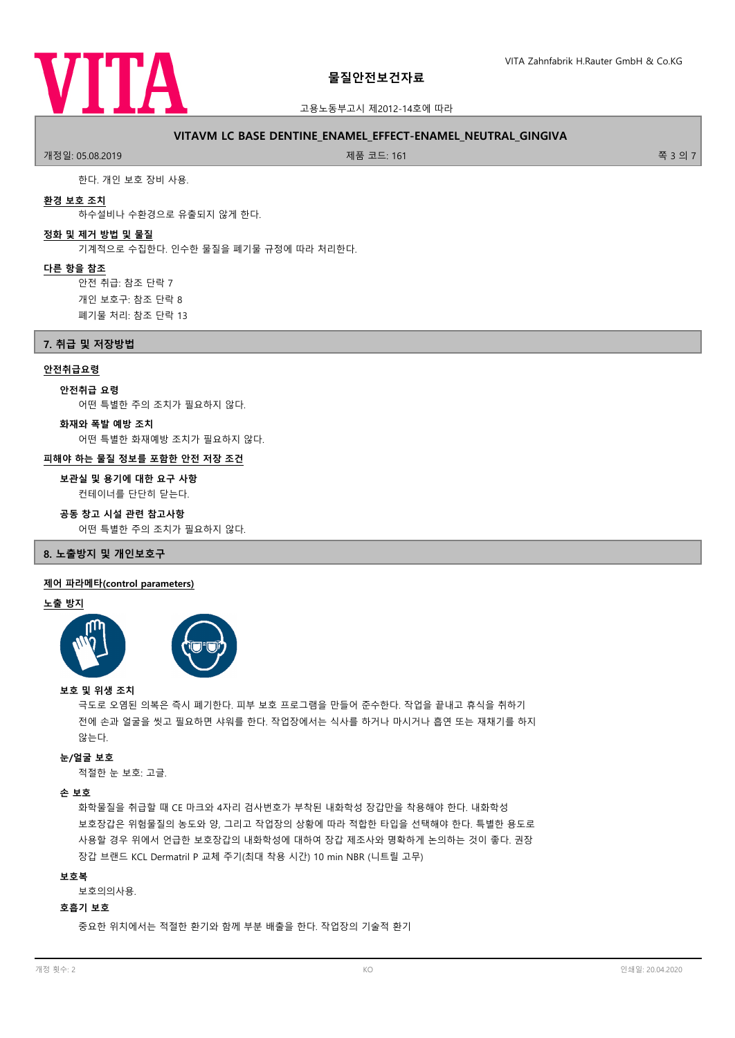

### 고용노동부고시 제2012-14호에 따라

# **VITAVM LC BASE DENTINE\_ENAMEL\_EFFECT-ENAMEL\_NEUTRAL\_GINGIVA**

.<br>개정일: 05.08.2019 제품 코드: 161 쪽 3 의 7

한다. 개인 보호 장비 사용.

### **환경 보호 조치**

하수설비나 수환경으로 유출되지 않게 한다.

# **정화 및 제거 방법 및 물질**

기계적으로 수집한다. 인수한 물질을 폐기물 규정에 따라 처리한다.

#### **다른 항을 참조**

안전 취급: 참조 단락 7 개인 보호구: 참조 단락 8 폐기물 처리: 참조 단락 13

**7. 취급 및 저장방법**

### **안전취급요령**

**안전취급 요령**

어떤 특별한 주의 조치가 필요하지 않다.

**화재와 폭발 예방 조치**

어떤 특별한 화재예방 조치가 필요하지 않다.

# **피해야 하는 물질 정보를 포함한 안전 저장 조건**

컨테이너를 단단히 닫는다. **보관실 및 용기에 대한 요구 사항**

### **공동 창고 시설 관련 참고사항**

어떤 특별한 주의 조치가 필요하지 않다.

# **8. 노출방지 및 개인보호구**

### **제어 파라메타(control parameters)**

### **노출 방지**



### **보호 및 위생 조치**

극도로 오염된 의복은 즉시 폐기한다. 피부 보호 프로그램을 만들어 준수한다. 작업을 끝내고 휴식을 취하기 전에 손과 얼굴을 씻고 필요하면 샤워를 한다. 작업장에서는 식사를 하거나 마시거나 흡연 또는 재채기를 하지 않는다.

### **눈/얼굴 보호**

적절한 눈 보호: 고글.

# **손 보호**

화학물질을 취급할 때 CE 마크와 4자리 검사번호가 부착된 내화학성 장갑만을 착용해야 한다. 내화학성 보호장갑은 위험물질의 농도와 양, 그리고 작업장의 상황에 따라 적합한 타입을 선택해야 한다. 특별한 용도로 사용할 경우 위에서 언급한 보호장갑의 내화학성에 대하여 장갑 제조사와 명확하게 논의하는 것이 좋다. 권장 장갑 브랜드 KCL Dermatril P 교체 주기(최대 착용 시간) 10 min NBR (니트릴 고무)

### **보호복**

보호의의사용.

### **호흡기 보호**

중요한 위치에서는 적절한 환기와 함께 부분 배출을 한다. 작업장의 기술적 환기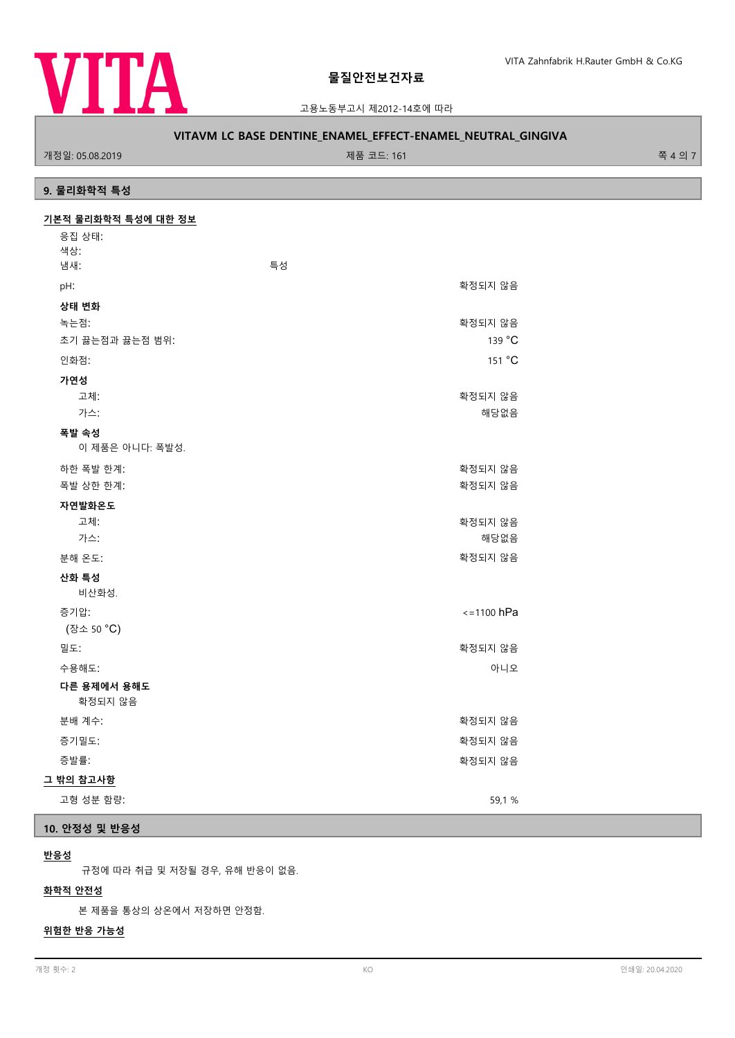

고용노동부고시 제2012-14호에 따라

# **VITAVM LC BASE DENTINE\_ENAMEL\_EFFECT-ENAMEL\_NEUTRAL\_GINGIVA**

개정일: 05.08.2019 제품 코드: 161 쪽 4 의 7

# **9. 물리화학적 특성**

| 기본적 물리화학적 특성에 대한 정보 |                 |  |
|---------------------|-----------------|--|
| 응집 상태:              |                 |  |
| 색상:                 |                 |  |
| 냄새:                 | 특성              |  |
| pH:                 | 확정되지 않음         |  |
| 상태 변화               |                 |  |
| 녹는점:                | 확정되지 않음         |  |
| 초기 끓는점과 끓는점 범위:     | 139 °C          |  |
| 인화점:                | 151 °C          |  |
| 가연성                 |                 |  |
| 고체:                 | 확정되지 않음         |  |
| 가스:                 | 해당없음            |  |
| 폭발 속성               |                 |  |
| 이 제품은 아니다: 폭발성.     |                 |  |
| 하한 폭발 한계:           | 확정되지 않음         |  |
| 폭발 상한 한계:           | 확정되지 않음         |  |
| 자연발화온도              |                 |  |
| 고체:                 | 확정되지 않음         |  |
| 가스:                 | 해당없음            |  |
| 분해 온도:              | 확정되지 않음         |  |
| 산화 특성               |                 |  |
| 비산화성.               |                 |  |
| 증기압:                | $\le$ =1100 hPa |  |
| (장소 50 °C)          |                 |  |
| 밀도:                 | 확정되지 않음         |  |
| 수용해도:               | 아니오             |  |
| 다른 용제에서 용해도         |                 |  |
| 확정되지 않음             |                 |  |
| 분배 계수:              | 확정되지 않음         |  |
| 증기밀도:               | 확정되지 않음         |  |
| 증발률:                | 확정되지 않음         |  |
| 그 밖의 참고사항           |                 |  |
| 고형 성분 함량:           | 59,1 %          |  |

# **10. 안정성 및 반응성**

## **반응성**

규정에 따라 취급 및 저장될 경우, 유해 반응이 없음.

# **화학적 안전성**

본 제품을 통상의 상온에서 저장하면 안정함.

# **위험한 반응 가능성**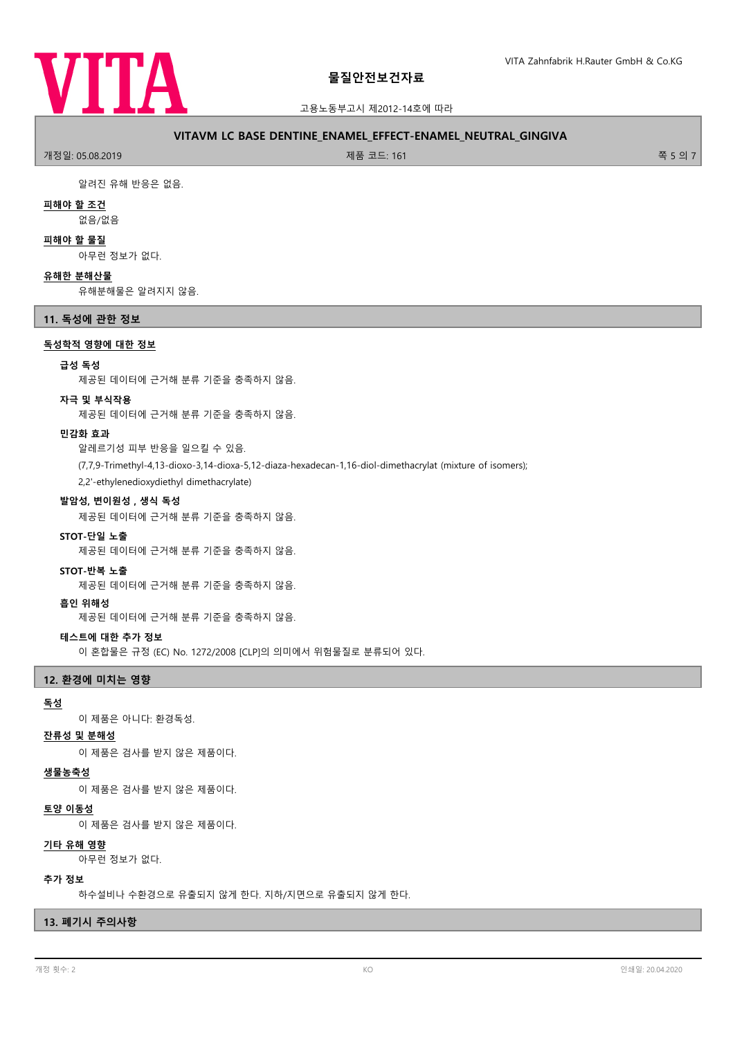

고용노동부고시 제2012-14호에 따라

# **VITAVM LC BASE DENTINE\_ENAMEL\_EFFECT-ENAMEL\_NEUTRAL\_GINGIVA**

.<br>개정일: 05.08.2019 제품 코드: 161 쪽 5 의 7

알려진 유해 반응은 없음.

### **피해야 할 조건**

없음/없음

### **피해야 할 물질**

아무런 정보가 없다.

### **유해한 분해산물**

유해분해물은 알려지지 않음.

# **11. 독성에 관한 정보**

**독성학적 영향에 대한 정보**

### **급성 독성**

제공된 데이터에 근거해 분류 기준을 충족하지 않음.

### **자극 및 부식작용**

제공된 데이터에 근거해 분류 기준을 충족하지 않음.

### **민감화 효과**

알레르기성 피부 반응을 일으킬 수 있음.

(7,7,9-Trimethyl-4,13-dioxo-3,14-dioxa-5,12-diaza-hexadecan-1,16-diol-dimethacrylat (mixture of isomers); 2,2'-ethylenedioxydiethyl dimethacrylate)

**발암성, 변이원성 , 생식 독성**

제공된 데이터에 근거해 분류 기준을 충족하지 않음.

#### **STOT-단일 노출**

제공된 데이터에 근거해 분류 기준을 충족하지 않음.

#### **STOT-반복 노출**

제공된 데이터에 근거해 분류 기준을 충족하지 않음.

#### **흡인 위해성**

제공된 데이터에 근거해 분류 기준을 충족하지 않음.

### **테스트에 대한 추가 정보**

이 혼합물은 규정 (EC) No. 1272/2008 [CLP]의 의미에서 위험물질로 분류되어 있다.

### **12. 환경에 미치는 영향**

# **독성**

이 제품은 아니다: 환경독성.

#### **잔류성 및 분해성**

이 제품은 검사를 받지 않은 제품이다.

#### **생물농축성**

이 제품은 검사를 받지 않은 제품이다.

### **토양 이동성**

이 제품은 검사를 받지 않은 제품이다.

#### **기타 유해 영향**

아무런 정보가 없다.

### **추가 정보**

하수설비나 수환경으로 유출되지 않게 한다. 지하/지면으로 유출되지 않게 한다.

# **13. 폐기시 주의사항**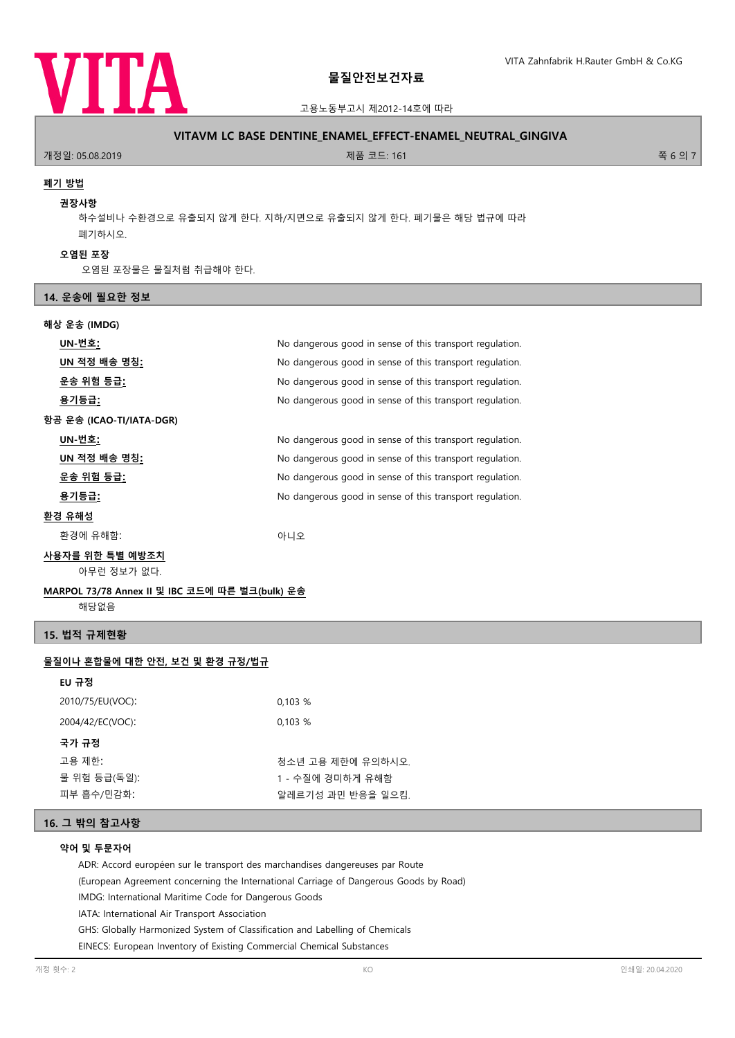

# 고용노동부고시 제2012-14호에 따라

### **VITAVM LC BASE DENTINE\_ENAMEL\_EFFECT-ENAMEL\_NEUTRAL\_GINGIVA**

.<br>개정일: 05.08.2019 제품 코드: 161 쪽 6 의 7

### **폐기 방법**

#### **권장사항**

하수설비나 수환경으로 유출되지 않게 한다. 지하/지면으로 유출되지 않게 한다. 폐기물은 해당 법규에 따라 폐기하시오.

#### **오염된 포장**

오염된 포장물은 물질처럼 취급해야 한다.

#### **14. 운송에 필요한 정보**

### **해상 운송 (IMDG)**

| UN-번호:                         | No dangerous good in sense of this transport regulation. |  |  |
|--------------------------------|----------------------------------------------------------|--|--|
| UN 적정 배송 명칭:                   | No dangerous good in sense of this transport regulation. |  |  |
| <u>운송 위험 등급:</u>               | No dangerous good in sense of this transport regulation. |  |  |
| 용기등급:                          | No dangerous good in sense of this transport regulation. |  |  |
| 항공 운송 (ICAO-TI/IATA-DGR)       |                                                          |  |  |
| UN-번호:                         | No dangerous good in sense of this transport regulation. |  |  |
| <u>UN 적정 배송 명칭:</u>            | No dangerous good in sense of this transport regulation. |  |  |
| <u>운송 위험 등급:</u>               | No dangerous good in sense of this transport regulation. |  |  |
| 용기등급:                          | No dangerous good in sense of this transport regulation. |  |  |
| 환경 유해성                         |                                                          |  |  |
| 환경에 유해함:                       | 아니오                                                      |  |  |
| 사용자를 위한 특별 예방조치<br>아무런 정보가 없다. |                                                          |  |  |
|                                |                                                          |  |  |

# **MARPOL 73/78 Annex II 및 IBC 코드에 따른 벌크(bulk) 운송**

해당없음

# **15. 법적 규제현황**

# **물질이나 혼합물에 대한 안전, 보건 및 환경 규정/법규**

| EU 규정            |                   |
|------------------|-------------------|
| 2010/75/EU(VOC): | 0,103%            |
| 2004/42/EC(VOC): | 0,103%            |
| 국가 규정            |                   |
| 고용 제한:           | 청소년 고용 제한에 유의하시오. |
| 물 위험 등급(독일):     | 1 - 수질에 경미하게 유해함  |
| 피부 흡수/민감화:       | 알레르기성 과민 반응을 일으킴. |

# **16. 그 밖의 참고사항**

# **약어 및 두문자어**

ADR: Accord européen sur le transport des marchandises dangereuses par Route

(European Agreement concerning the International Carriage of Dangerous Goods by Road)

IMDG: International Maritime Code for Dangerous Goods

IATA: International Air Transport Association

GHS: Globally Harmonized System of Classification and Labelling of Chemicals

EINECS: European Inventory of Existing Commercial Chemical Substances